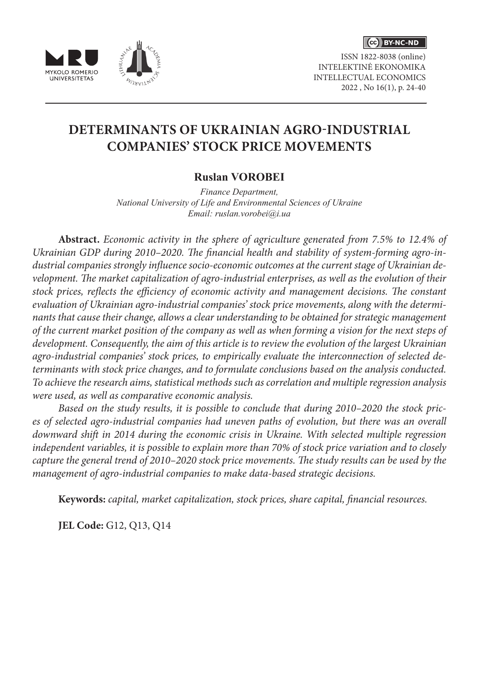

ISSN 1822-8038 (online) INTELEKTINĖ EKONOMIKA INTELLECTUAL ECONOMICS 2022 , No 16(1), p. 24-40



### **Ruslan VOROBEI**

*Finance Department, National University of Life and Environmental Sciences of Ukraine Email: ruslan.vorobei@i.ua*

**Abstract.** *Economic activity in the sphere of agriculture generated from 7.5% to 12.4% of Ukrainian GDP during 2010–2020. The financial health and stability of system-forming agro-industrial companies strongly influence socio-economic outcomes at the current stage of Ukrainian development. The market capitalization of agro-industrial enterprises, as well as the evolution of their stock prices, reflects the efficiency of economic activity and management decisions. The constant evaluation of Ukrainian agro-industrial companies' stock price movements, along with the determinants that cause their change, allows a clear understanding to be obtained for strategic management of the current market position of the company as well as when forming a vision for the next steps of development. Consequently, the aim of this article is to review the evolution of the largest Ukrainian agro-industrial companies' stock prices, to empirically evaluate the interconnection of selected determinants with stock price changes, and to formulate conclusions based on the analysis conducted. To achieve the research aims, statistical methods such as correlation and multiple regression analysis were used, as well as comparative economic analysis.* 

*Based on the study results, it is possible to conclude that during 2010–2020 the stock prices of selected agro-industrial companies had uneven paths of evolution, but there was an overall downward shift in 2014 during the economic crisis in Ukraine. With selected multiple regression independent variables, it is possible to explain more than 70% of stock price variation and to closely capture the general trend of 2010–2020 stock price movements. The study results can be used by the management of agro-industrial companies to make data-based strategic decisions.*

**Keywords:** *capital, market capitalization, stock prices, share capital, financial resources.*

**JEL Code:** G12, Q13, Q14

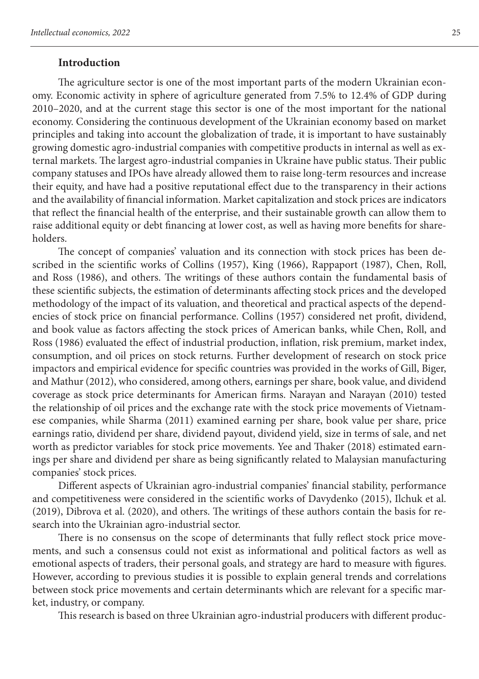#### **Introduction**

The agriculture sector is one of the most important parts of the modern Ukrainian economy. Economic activity in sphere of agriculture generated from 7.5% to 12.4% of GDP during 2010–2020, and at the current stage this sector is one of the most important for the national economy. Considering the continuous development of the Ukrainian economy based on market principles and taking into account the globalization of trade, it is important to have sustainably growing domestic agro-industrial companies with competitive products in internal as well as external markets. The largest agro-industrial companies in Ukraine have public status. Their public company statuses and IPOs have already allowed them to raise long-term resources and increase their equity, and have had a positive reputational effect due to the transparency in their actions and the availability of financial information. Market capitalization and stock prices are indicators that reflect the financial health of the enterprise, and their sustainable growth can allow them to raise additional equity or debt financing at lower cost, as well as having more benefits for shareholders.

The concept of companies' valuation and its connection with stock prices has been described in the scientific works of Collins (1957), King (1966), Rappaport (1987), Chen, Roll, and Ross (1986), and others. The writings of these authors contain the fundamental basis of these scientific subjects, the estimation of determinants affecting stock prices and the developed methodology of the impact of its valuation, and theoretical and practical aspects of the dependencies of stock price on financial performance. Collins (1957) considered net profit, dividend, and book value as factors affecting the stock prices of American banks, while Chen, Roll, and Ross (1986) evaluated the effect of industrial production, inflation, risk premium, market index, consumption, and oil prices on stock returns. Further development of research on stock price impactors and empirical evidence for specific countries was provided in the works of Gill, Biger, and Mathur (2012), who considered, among others, earnings per share, book value, and dividend coverage as stock price determinants for American firms. Narayan and Narayan (2010) tested the relationship of oil prices and the exchange rate with the stock price movements of Vietnamese companies, while Sharma (2011) examined earning per share, book value per share, price earnings ratio, dividend per share, dividend payout, dividend yield, size in terms of sale, and net worth as predictor variables for stock price movements. Yee and Thaker (2018) estimated earnings per share and dividend per share as being significantly related to Malaysian manufacturing companies' stock prices.

Different aspects of Ukrainian agro-industrial companies' financial stability, performance and competitiveness were considered in the scientific works of Davydenko (2015), Ilchuk et al. (2019), Dibrova et al. (2020), and others. The writings of these authors contain the basis for research into the Ukrainian agro-industrial sector.

There is no consensus on the scope of determinants that fully reflect stock price movements, and such a consensus could not exist as informational and political factors as well as emotional aspects of traders, their personal goals, and strategy are hard to measure with figures. However, according to previous studies it is possible to explain general trends and correlations between stock price movements and certain determinants which are relevant for a specific market, industry, or company.

This research is based on three Ukrainian agro-industrial producers with different produc-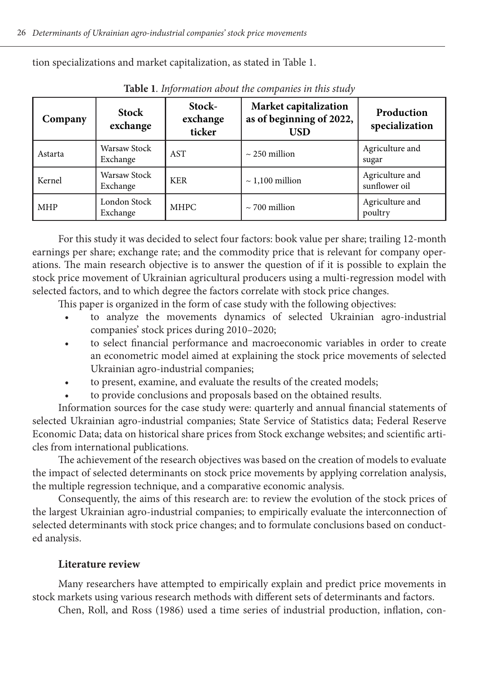tion specializations and market capitalization, as stated in Table 1.

| Company    | <b>Stock</b><br>exchange | Stock-<br>exchange<br>ticker | Market capitalization<br>as of beginning of 2022,<br><b>USD</b> | Production<br>specialization     |  |
|------------|--------------------------|------------------------------|-----------------------------------------------------------------|----------------------------------|--|
| Astarta    | Warsaw Stock<br>Exchange | <b>AST</b>                   | $\sim$ 250 million                                              | Agriculture and<br>sugar         |  |
| Kernel     | Warsaw Stock<br>Exchange | <b>KER</b>                   | $\sim$ 1,100 million                                            | Agriculture and<br>sunflower oil |  |
| <b>MHP</b> | London Stock<br>Exchange | MHPC                         | $\sim$ 700 million                                              | Agriculture and<br>poultry       |  |

**Table 1***. Information about the companies in this study*

For this study it was decided to select four factors: book value per share; trailing 12-month earnings per share; exchange rate; and the commodity price that is relevant for company operations. The main research objective is to answer the question of if it is possible to explain the stock price movement of Ukrainian agricultural producers using a multi-regression model with selected factors, and to which degree the factors correlate with stock price changes.

This paper is organized in the form of case study with the following objectives:

- to analyze the movements dynamics of selected Ukrainian agro-industrial companies' stock prices during 2010–2020;
- to select financial performance and macroeconomic variables in order to create an econometric model aimed at explaining the stock price movements of selected Ukrainian agro-industrial companies;
- to present, examine, and evaluate the results of the created models;
- to provide conclusions and proposals based on the obtained results.

Information sources for the case study were: quarterly and annual financial statements of selected Ukrainian agro-industrial companies; State Service of Statistics data; Federal Reserve Economic Data; data on historical share prices from Stock exchange websites; and scientific articles from international publications.

The achievement of the research objectives was based on the creation of models to evaluate the impact of selected determinants on stock price movements by applying correlation analysis, the multiple regression technique, and a comparative economic analysis.

Consequently, the aims of this research are: to review the evolution of the stock prices of the largest Ukrainian agro-industrial companies; to empirically evaluate the interconnection of selected determinants with stock price changes; and to formulate conclusions based on conducted analysis.

### **Literature review**

Many researchers have attempted to empirically explain and predict price movements in stock markets using various research methods with different sets of determinants and factors.

Chen, Roll, and Ross (1986) used a time series of industrial production, inflation, con-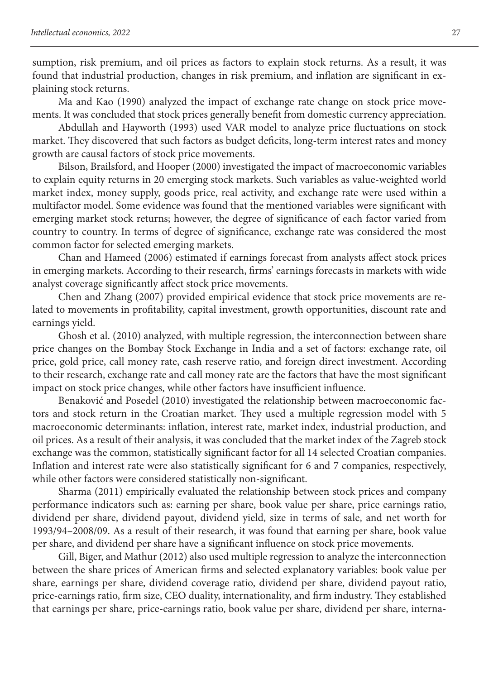sumption, risk premium, and oil prices as factors to explain stock returns. As a result, it was found that industrial production, changes in risk premium, and inflation are significant in explaining stock returns.

Ma and Kao (1990) analyzed the impact of exchange rate change on stock price movements. It was concluded that stock prices generally benefit from domestic currency appreciation.

Abdullah and Hayworth (1993) used VAR model to analyze price fluctuations on stock market. They discovered that such factors as budget deficits, long-term interest rates and money growth are causal factors of stock price movements.

Bilson, Brailsford, and Hooper (2000) investigated the impact of macroeconomic variables to explain equity returns in 20 emerging stock markets. Such variables as value-weighted world market index, money supply, goods price, real activity, and exchange rate were used within a multifactor model. Some evidence was found that the mentioned variables were significant with emerging market stock returns; however, the degree of significance of each factor varied from country to country. In terms of degree of significance, exchange rate was considered the most common factor for selected emerging markets.

Chan and Hameed (2006) estimated if earnings forecast from analysts affect stock prices in emerging markets. According to their research, firms' earnings forecasts in markets with wide analyst coverage significantly affect stock price movements.

Chen and Zhang (2007) provided empirical evidence that stock price movements are related to movements in profitability, capital investment, growth opportunities, discount rate and earnings yield.

Ghosh et al. (2010) analyzed, with multiple regression, the interconnection between share price changes on the Bombay Stock Exchange in India and a set of factors: exchange rate, oil price, gold price, call money rate, cash reserve ratio, and foreign direct investment. According to their research, exchange rate and call money rate are the factors that have the most significant impact on stock price changes, while other factors have insufficient influence.

Benaković and Posedel (2010) investigated the relationship between macroeconomic factors and stock return in the Croatian market. They used a multiple regression model with 5 macroeconomic determinants: inflation, interest rate, market index, industrial production, and oil prices. As a result of their analysis, it was concluded that the market index of the Zagreb stock exchange was the common, statistically significant factor for all 14 selected Croatian companies. Inflation and interest rate were also statistically significant for 6 and 7 companies, respectively, while other factors were considered statistically non-significant.

Sharma (2011) empirically evaluated the relationship between stock prices and company performance indicators such as: earning per share, book value per share, price earnings ratio, dividend per share, dividend payout, dividend yield, size in terms of sale, and net worth for 1993/94–2008/09. As a result of their research, it was found that earning per share, book value per share, and dividend per share have a significant influence on stock price movements.

Gill, Biger, and Mathur (2012) also used multiple regression to analyze the interconnection between the share prices of American firms and selected explanatory variables: book value per share, earnings per share, dividend coverage ratio, dividend per share, dividend payout ratio, price-earnings ratio, firm size, CEO duality, internationality, and firm industry. They established that earnings per share, price-earnings ratio, book value per share, dividend per share, interna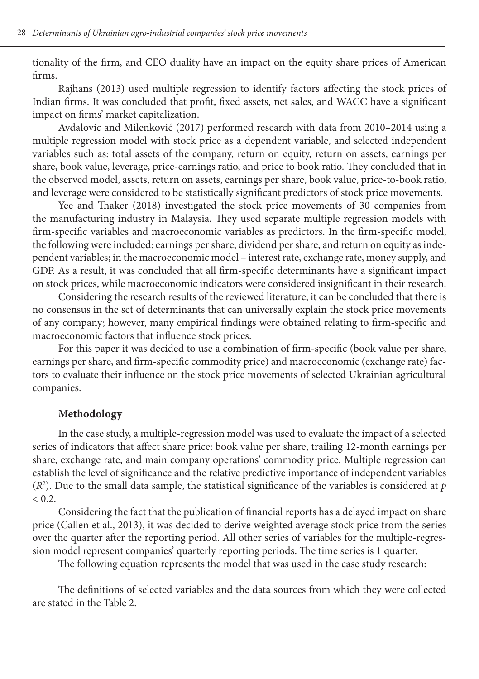tionality of the firm, and CEO duality have an impact on the equity share prices of American firms.

Rajhans (2013) used multiple regression to identify factors affecting the stock prices of Indian firms. It was concluded that profit, fixed assets, net sales, and WACC have a significant impact on firms' market capitalization.

Avdalovic and Milenković (2017) performed research with data from 2010–2014 using a multiple regression model with stock price as a dependent variable, and selected independent variables such as: total assets of the company, return on equity, return on assets, earnings per share, book value, leverage, price-earnings ratio, and price to book ratio. They concluded that in the observed model, assets, return on assets, earnings per share, book value, price-to-book ratio, and leverage were considered to be statistically significant predictors of stock price movements.

Yee and Thaker (2018) investigated the stock price movements of 30 companies from the manufacturing industry in Malaysia. They used separate multiple regression models with firm-specific variables and macroeconomic variables as predictors. In the firm-specific model, the following were included: earnings per share, dividend per share, and return on equity as independent variables; in the macroeconomic model – interest rate, exchange rate, money supply, and GDP. As a result, it was concluded that all firm-specific determinants have a significant impact on stock prices, while macroeconomic indicators were considered insignificant in their research.

Considering the research results of the reviewed literature, it can be concluded that there is no consensus in the set of determinants that can universally explain the stock price movements of any company; however, many empirical findings were obtained relating to firm-specific and macroeconomic factors that influence stock prices.

For this paper it was decided to use a combination of firm-specific (book value per share, earnings per share, and firm-specific commodity price) and macroeconomic (exchange rate) factors to evaluate their influence on the stock price movements of selected Ukrainian agricultural companies.

#### **Methodology**

In the case study, a multiple-regression model was used to evaluate the impact of a selected series of indicators that affect share price: book value per share, trailing 12-month earnings per share, exchange rate, and main company operations' commodity price. Multiple regression can establish the level of significance and the relative predictive importance of independent variables (*R*<sup>2</sup> ). Due to the small data sample, the statistical significance of the variables is considered at *p*  $< 0.2$ .

Considering the fact that the publication of financial reports has a delayed impact on share price (Callen et al., 2013), it was decided to derive weighted average stock price from the series over the quarter after the reporting period. All other series of variables for the multiple-regression model represent companies' quarterly reporting periods. The time series is 1 quarter.

The following equation represents the model that was used in the case study research:

The definitions of selected variables and the data sources from which they were collected are stated in the Table 2.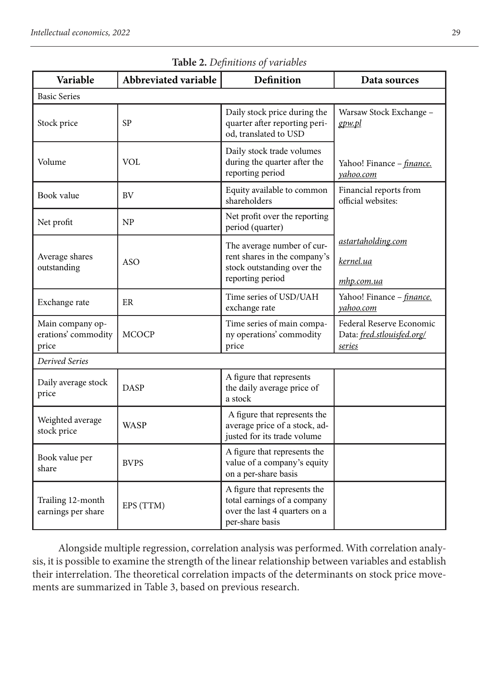| Variable<br>Abbreviated variable                                                                                                                                        |                                               | Definition                                                                             | Data sources                                                     |  |  |  |  |  |
|-------------------------------------------------------------------------------------------------------------------------------------------------------------------------|-----------------------------------------------|----------------------------------------------------------------------------------------|------------------------------------------------------------------|--|--|--|--|--|
| <b>Basic Series</b>                                                                                                                                                     |                                               |                                                                                        |                                                                  |  |  |  |  |  |
| SP<br>Stock price                                                                                                                                                       |                                               | Daily stock price during the<br>quarter after reporting peri-<br>od, translated to USD | Warsaw Stock Exchange -<br>gpw.pl                                |  |  |  |  |  |
| Volume                                                                                                                                                                  | VOL                                           | Daily stock trade volumes<br>during the quarter after the<br>reporting period          | Yahoo! Finance - <i>finance</i> .<br>yahoo.com                   |  |  |  |  |  |
| Book value                                                                                                                                                              | <b>BV</b>                                     | Equity available to common<br>shareholders                                             | Financial reports from<br>official websites:                     |  |  |  |  |  |
| Net profit                                                                                                                                                              | <b>NP</b>                                     | Net profit over the reporting<br>period (quarter)                                      |                                                                  |  |  |  |  |  |
| Average shares                                                                                                                                                          |                                               | The average number of cur-<br>rent shares in the company's                             | astartaholding.com                                               |  |  |  |  |  |
| outstanding                                                                                                                                                             | <b>ASO</b>                                    | stock outstanding over the<br>reporting period                                         | kernel.ua                                                        |  |  |  |  |  |
|                                                                                                                                                                         |                                               |                                                                                        | mhp.com.ua                                                       |  |  |  |  |  |
| Exchange rate                                                                                                                                                           | Time series of USD/UAH<br>ER<br>exchange rate |                                                                                        | Yahoo! Finance - finance.<br>yahoo.com                           |  |  |  |  |  |
| Main company op-<br>erations' commodity<br>price                                                                                                                        | MCOCP                                         | Time series of main compa-<br>ny operations' commodity<br>price                        | Federal Reserve Economic<br>Data: fred.stlouisfed.org/<br>series |  |  |  |  |  |
| Derived Series                                                                                                                                                          |                                               |                                                                                        |                                                                  |  |  |  |  |  |
| Daily average stock<br>price                                                                                                                                            | <b>DASP</b>                                   | A figure that represents<br>the daily average price of<br>a stock                      |                                                                  |  |  |  |  |  |
| A figure that represents the<br>Weighted average<br>average price of a stock, ad-<br>WASP<br>stock price<br>justed for its trade volume                                 |                                               |                                                                                        |                                                                  |  |  |  |  |  |
| Book value per<br>share                                                                                                                                                 | <b>BVPS</b>                                   | A figure that represents the<br>value of a company's equity<br>on a per-share basis    |                                                                  |  |  |  |  |  |
| A figure that represents the<br>total earnings of a company<br>Trailing 12-month<br>EPS (TTM)<br>over the last 4 quarters on a<br>earnings per share<br>per-share basis |                                               |                                                                                        |                                                                  |  |  |  |  |  |

## **Table 2.** *Definitions of variables*

Alongside multiple regression, correlation analysis was performed. With correlation analysis, it is possible to examine the strength of the linear relationship between variables and establish their interrelation. The theoretical correlation impacts of the determinants on stock price movements are summarized in Table 3, based on previous research.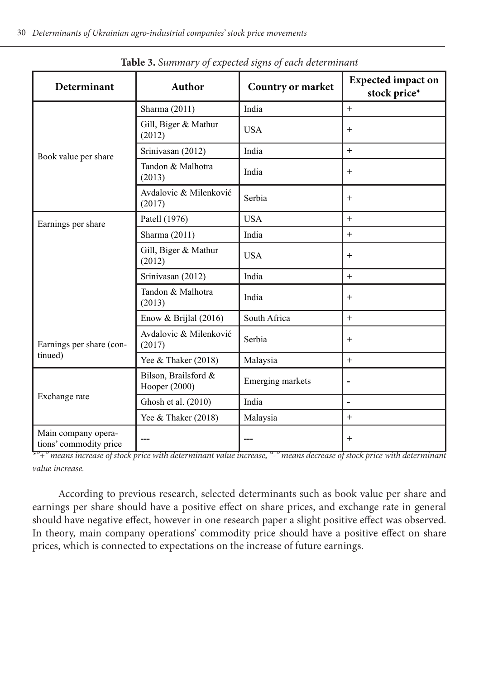| Determinant                                   | Author                                | Country or market | <b>Expected impact on</b><br>stock price* |  |
|-----------------------------------------------|---------------------------------------|-------------------|-------------------------------------------|--|
|                                               | Sharma (2011)                         | India             | $+$                                       |  |
|                                               | Gill, Biger & Mathur<br>(2012)        | <b>USA</b>        | $^{+}$                                    |  |
| Book value per share                          | Srinivasan (2012)                     | India             | $^{+}$                                    |  |
|                                               | Tandon & Malhotra<br>(2013)           | India             | $^{+}$                                    |  |
|                                               | Avdalovic & Milenković<br>(2017)      | Serbia            | $^{+}$                                    |  |
| Earnings per share                            | Patell (1976)                         | <b>USA</b>        | $+$                                       |  |
|                                               | Sharma (2011)                         | India             | $^{+}$                                    |  |
|                                               | Gill, Biger & Mathur<br>(2012)        | <b>USA</b>        | $^{+}$                                    |  |
|                                               | Srinivasan (2012)                     | India             | $^{+}$                                    |  |
|                                               | Tandon & Malhotra<br>(2013)           | India             | $^{+}$                                    |  |
|                                               | Enow & Brijlal $(2016)$               | South Africa      | $+$                                       |  |
| Earnings per share (con-                      | Avdalovic & Milenković<br>(2017)      | Serbia            | $^{+}$                                    |  |
| tinued)                                       | Yee & Thaker (2018)                   | Malaysia          | $^{+}$                                    |  |
|                                               | Bilson, Brailsford &<br>Hooper (2000) | Emerging markets  | -                                         |  |
| Exchange rate                                 | Ghosh et al. (2010)                   | India             | ÷,                                        |  |
|                                               | Yee & Thaker (2018)                   | Malaysia          | $+$                                       |  |
| Main company opera-<br>tions' commodity price |                                       |                   | $\ddot{}$                                 |  |

**Table 3.** *Summary of expected signs of each determinant*

*\*"+" means increase of stock price with determinant value increase, "-" means decrease of stock price with determinant value increase.*

According to previous research, selected determinants such as book value per share and earnings per share should have a positive effect on share prices, and exchange rate in general should have negative effect, however in one research paper a slight positive effect was observed. In theory, main company operations' commodity price should have a positive effect on share prices, which is connected to expectations on the increase of future earnings.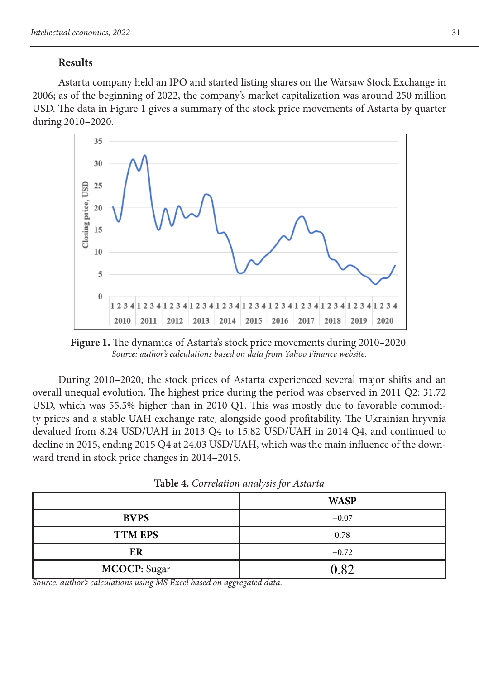#### **Results**

Astarta company held an IPO and started listing shares on the Warsaw Stock Exchange in 2006; as of the beginning of 2022, the company's market capitalization was around 250 million USD. The data in Figure 1 gives a summary of the stock price movements of Astarta by quarter during 2010–2020.



**Figure 1.** The dynamics of Astarta's stock price movements during 2010–2020. *Source: author's calculations based on data from Yahoo Finance website.*

During 2010–2020, the stock prices of Astarta experienced several major shifts and an overall unequal evolution. The highest price during the period was observed in 2011 Q2: 31.72 USD, which was 55.5% higher than in 2010 Q1. This was mostly due to favorable commodity prices and a stable UAH exchange rate, alongside good profitability. The Ukrainian hryvnia devalued from 8.24 USD/UAH in 2013 Q4 to 15.82 USD/UAH in 2014 Q4, and continued to decline in 2015, ending 2015 Q4 at 24.03 USD/UAH, which was the main influence of the downward trend in stock price changes in 2014–2015.

|                     | <b>WASP</b> |
|---------------------|-------------|
| <b>BVPS</b>         | $-0.07$     |
| <b>TTM EPS</b>      | 0.78        |
| ER                  | $-0.72$     |
| <b>MCOCP:</b> Sugar | 0.82        |

**Table 4.** *Correlation analysis for Astarta*

*Source: author's calculations using MS Excel based on aggregated data.*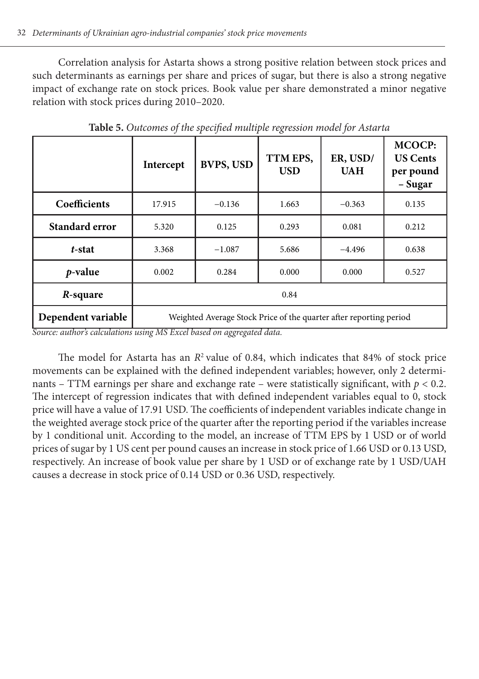Correlation analysis for Astarta shows a strong positive relation between stock prices and such determinants as earnings per share and prices of sugar, but there is also a strong negative impact of exchange rate on stock prices. Book value per share demonstrated a minor negative relation with stock prices during 2010–2020.

|                    | Intercept                                                          | <b>BVPS, USD</b> | TTM EPS.<br><b>USD</b> | ER, USD/<br><b>UAH</b> | <b>MCOCP:</b><br><b>US Cents</b><br>per pound<br>– Sugar |  |
|--------------------|--------------------------------------------------------------------|------------------|------------------------|------------------------|----------------------------------------------------------|--|
| Coefficients       | 17.915                                                             | $-0.136$         | 1.663                  | $-0.363$               | 0.135                                                    |  |
| Standard error     | 5.320                                                              | 0.125            | 0.293                  | 0.081                  | 0.212                                                    |  |
| t-stat             | 3.368                                                              | $-1.087$         | 5.686                  | $-4.496$               | 0.638                                                    |  |
| <i>p</i> -value    | 0.002<br>0.284                                                     |                  | 0.000                  | 0.000                  | 0.527                                                    |  |
| R-square           | 0.84                                                               |                  |                        |                        |                                                          |  |
| Dependent variable | Weighted Average Stock Price of the quarter after reporting period |                  |                        |                        |                                                          |  |

**Table 5.** *Outcomes of the specified multiple regression model for Astarta*

*Source: author's calculations using MS Excel based on aggregated data.*

The model for Astarta has an  $R^2$  value of 0.84, which indicates that 84% of stock price movements can be explained with the defined independent variables; however, only 2 determinants – TTM earnings per share and exchange rate – were statistically significant, with  $p < 0.2$ . The intercept of regression indicates that with defined independent variables equal to 0, stock price will have a value of 17.91 USD. The coefficients of independent variables indicate change in the weighted average stock price of the quarter after the reporting period if the variables increase by 1 conditional unit. According to the model, an increase of TTM EPS by 1 USD or of world prices of sugar by 1 US cent per pound causes an increase in stock price of 1.66 USD or 0.13 USD, respectively. An increase of book value per share by 1 USD or of exchange rate by 1 USD/UAH causes a decrease in stock price of 0.14 USD or 0.36 USD, respectively.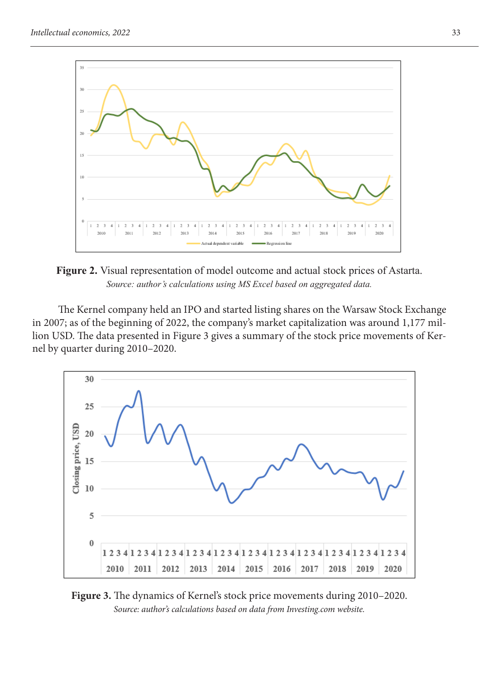

**Figure 2.** Visual representation of model outcome and actual stock prices of Astarta. *Source: author's calculations using MS Excel based on aggregated data.*

The Kernel company held an IPO and started listing shares on the Warsaw Stock Exchange in 2007; as of the beginning of 2022, the company's market capitalization was around 1,177 million USD. The data presented in Figure 3 gives a summary of the stock price movements of Kernel by quarter during 2010–2020.



**Figure 3.** The dynamics of Kernel's stock price movements during 2010–2020. *Source: author's calculations based on data from Investing.com website.*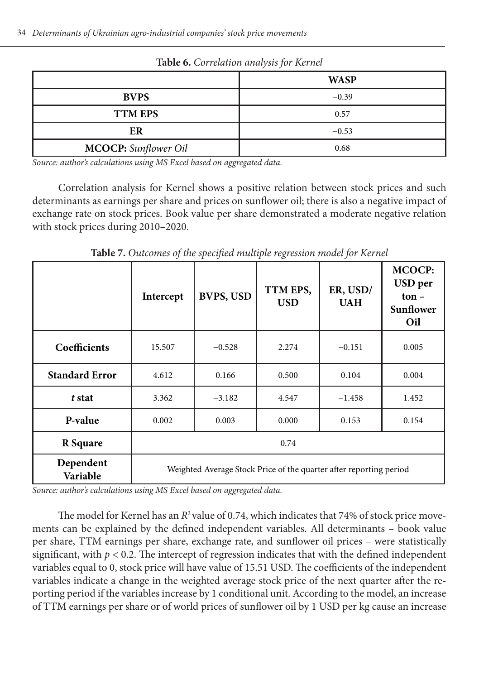| <b>THOIC OF COLLECTION WILD FOR THE RELIEVE</b> |             |  |  |  |
|-------------------------------------------------|-------------|--|--|--|
|                                                 | <b>WASP</b> |  |  |  |
| <b>BVPS</b>                                     | $-0.39$     |  |  |  |
| <b>TTM EPS</b>                                  | 0.57        |  |  |  |
| ER                                              | $-0.53$     |  |  |  |
| <b>MCOCP:</b> Sunflower Oil                     | 0.68        |  |  |  |

**Table 6.** *Correlation analysis for Kernel*

*Source: author's calculations using MS Excel based on aggregated data.*

Correlation analysis for Kernel shows a positive relation between stock prices and such determinants as earnings per share and prices on sunflower oil; there is also a negative impact of exchange rate on stock prices. Book value per share demonstrated a moderate negative relation with stock prices during 2010–2020.

**Intercept BVPS, USD TTM EPS, USD ER, USD/ UAH MCOCP: USD per ton – Sunflower Oil Coefficients** 15.507 −0.528 2.274 −0.151 0.005 **Standard Error**  $\begin{array}{|c|c|c|c|c|c|} \hline 4.612 & 0.166 & 0.500 & 0.104 & 0.004 \ \hline \end{array}$ *t* **stat**  $\begin{array}{|c|c|c|c|c|c|} \hline \end{array}$  3.362  $\begin{array}{|c|c|c|c|c|} \hline \end{array}$  -3.182  $\begin{array}{|c|c|c|c|c|} \hline \end{array}$  4.547  $\begin{array}{|c|c|c|c|c|} \hline \end{array}$  -1.458  $\begin{array}{|c|c|c|c|c|c|} \hline \end{array}$  1.452 **P-value** 0.002 0.003 0.000 0.153 0.154 **R Square** 1 0.74 **Dependent Variable** Weighted Average Stock Price of the quarter after reporting period

**Table 7.** *Outcomes of the specified multiple regression model for Kernel*

*Source: author's calculations using MS Excel based on aggregated data.*

The model for Kernel has an  $R^2$  value of 0.74, which indicates that 74% of stock price movements can be explained by the defined independent variables. All determinants – book value per share, TTM earnings per share, exchange rate, and sunflower oil prices – were statistically significant, with  $p < 0.2$ . The intercept of regression indicates that with the defined independent variables equal to 0, stock price will have value of 15.51 USD. The coefficients of the independent variables indicate a change in the weighted average stock price of the next quarter after the reporting period if the variables increase by 1 conditional unit. According to the model, an increase of TTM earnings per share or of world prices of sunflower oil by 1 USD per kg cause an increase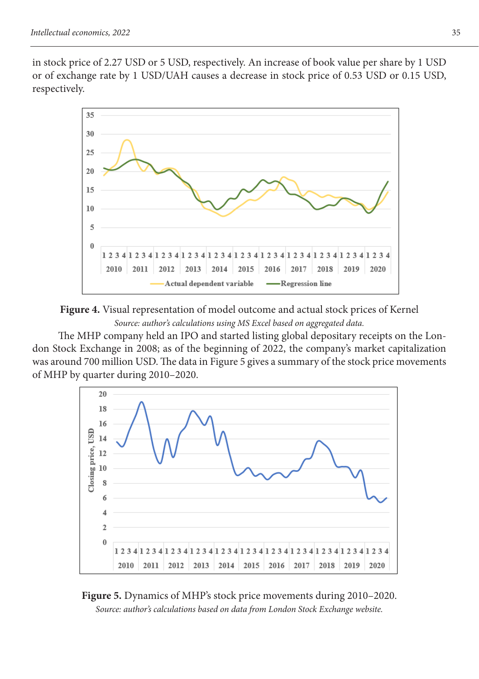in stock price of 2.27 USD or 5 USD, respectively. An increase of book value per share by 1 USD or of exchange rate by 1 USD/UAH causes a decrease in stock price of 0.53 USD or 0.15 USD, respectively.





The MHP company held an IPO and started listing global depositary receipts on the London Stock Exchange in 2008; as of the beginning of 2022, the company's market capitalization was around 700 million USD. The data in Figure 5 gives a summary of the stock price movements of MHP by quarter during 2010–2020.



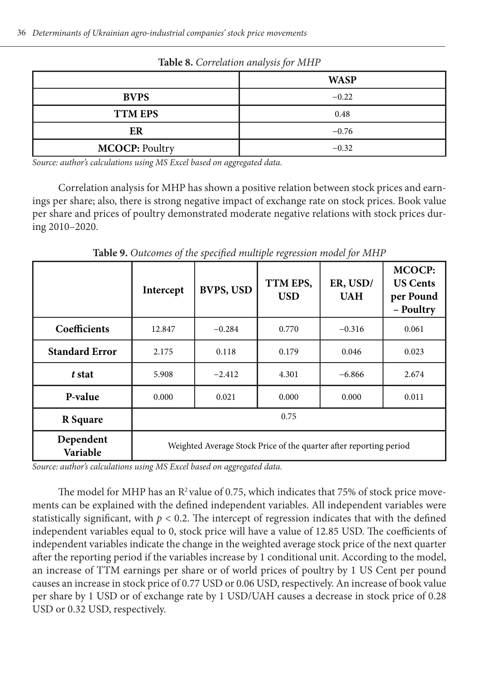| <b>Radic O.</b> Correlation analysis for inflite |             |  |  |  |
|--------------------------------------------------|-------------|--|--|--|
|                                                  | <b>WASP</b> |  |  |  |
| <b>BVPS</b>                                      | $-0.22$     |  |  |  |
| <b>TTM EPS</b>                                   | 0.48        |  |  |  |
| ER                                               | $-0.76$     |  |  |  |
| <b>MCOCP: Poultry</b>                            | $-0.32$     |  |  |  |

**Table 8.** *Correlation analysis for MHP*

*Source: author's calculations using MS Excel based on aggregated data.*

Correlation analysis for MHP has shown a positive relation between stock prices and earnings per share; also, there is strong negative impact of exchange rate on stock prices. Book value per share and prices of poultry demonstrated moderate negative relations with stock prices during 2010–2020.

|                                    | Intercept                                                          | <b>BVPS, USD</b> | TTM EPS,<br><b>USD</b> | ER, USD/<br><b>UAH</b> | <b>MCOCP:</b><br><b>US Cents</b><br>per Pound<br>- Poultry |
|------------------------------------|--------------------------------------------------------------------|------------------|------------------------|------------------------|------------------------------------------------------------|
| Coefficients<br>12.847<br>$-0.284$ |                                                                    |                  | 0.770                  | $-0.316$               | 0.061                                                      |
| <b>Standard Error</b>              | 2.175                                                              | 0.118            | 0.179                  | 0.046                  | 0.023                                                      |
| t stat                             | 5.908                                                              | $-2.412$         | 4.301                  | $-6.866$               | 2.674                                                      |
| P-value                            | 0.000                                                              | 0.021            | 0.000                  | 0.000                  | 0.011                                                      |
| R Square                           |                                                                    |                  | 0.75                   |                        |                                                            |
| Dependent<br><b>Variable</b>       | Weighted Average Stock Price of the quarter after reporting period |                  |                        |                        |                                                            |

**Table 9.** *Outcomes of the specified multiple regression model for MHP*

*Source: author's calculations using MS Excel based on aggregated data.*

The model for MHP has an  $\mathbb{R}^2$  value of 0.75, which indicates that 75% of stock price movements can be explained with the defined independent variables. All independent variables were statistically significant, with  $p < 0.2$ . The intercept of regression indicates that with the defined independent variables equal to 0, stock price will have a value of 12.85 USD. The coefficients of independent variables indicate the change in the weighted average stock price of the next quarter after the reporting period if the variables increase by 1 conditional unit. According to the model, an increase of TTM earnings per share or of world prices of poultry by 1 US Cent per pound causes an increase in stock price of 0.77 USD or 0.06 USD, respectively. An increase of book value per share by 1 USD or of exchange rate by 1 USD/UAH causes a decrease in stock price of 0.28 USD or 0.32 USD, respectively.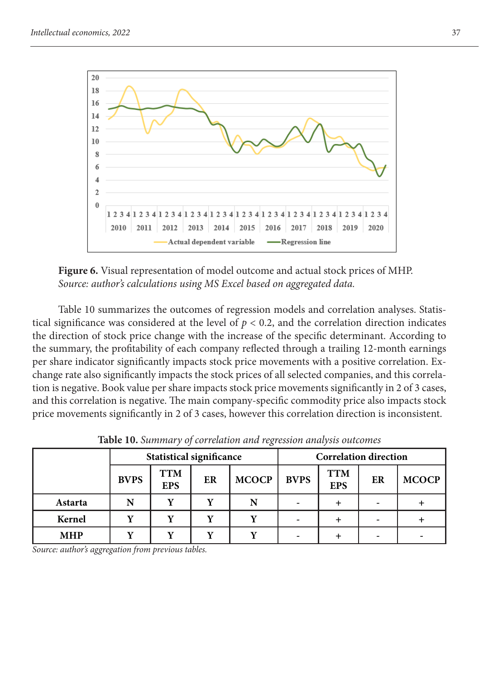

**Figure 6.** Visual representation of model outcome and actual stock prices of MHP. *Source: author's calculations using MS Excel based on aggregated data.*

Table 10 summarizes the outcomes of regression models and correlation analyses. Statistical significance was considered at the level of  $p < 0.2$ , and the correlation direction indicates the direction of stock price change with the increase of the specific determinant. According to the summary, the profitability of each company reflected through a trailing 12-month earnings per share indicator significantly impacts stock price movements with a positive correlation. Exchange rate also significantly impacts the stock prices of all selected companies, and this correlation is negative. Book value per share impacts stock price movements significantly in 2 of 3 cases, and this correlation is negative. The main company-specific commodity price also impacts stock price movements significantly in 2 of 3 cases, however this correlation direction is inconsistent.

|            | <b>Statistical significance</b> |                          |    | <b>Correlation direction</b> |             |                          |                          |              |
|------------|---------------------------------|--------------------------|----|------------------------------|-------------|--------------------------|--------------------------|--------------|
|            | <b>BVPS</b>                     | <b>TTM</b><br><b>EPS</b> | ER | <b>MCOCP</b>                 | <b>BVPS</b> | <b>TTM</b><br><b>EPS</b> | ER                       | <b>MCOCP</b> |
| Astarta    | N                               | $\mathbf{v}$             | v  | N                            |             |                          |                          |              |
| Kernel     |                                 |                          |    |                              |             |                          | $\overline{\phantom{a}}$ |              |
| <b>MHP</b> |                                 | $\mathbf{v}$             |    |                              |             |                          | $\overline{\phantom{a}}$ |              |

**Table 10.** *Summary of correlation and regression analysis outcomes*

*Source: author's aggregation from previous tables.*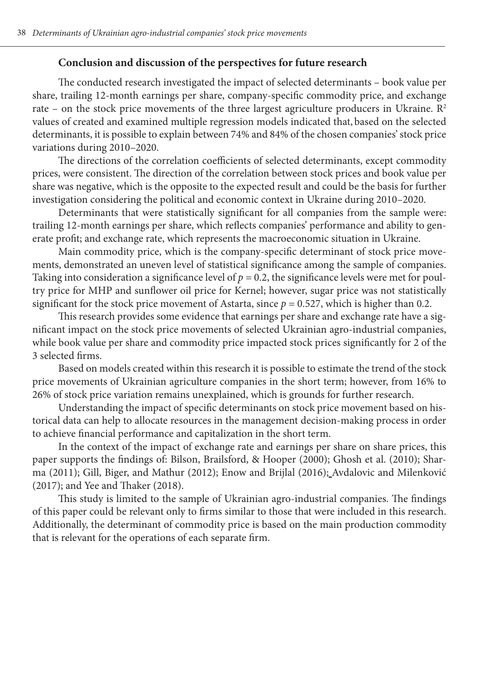### **Conclusion and discussion of the perspectives for future research**

The conducted research investigated the impact of selected determinants – book value per share, trailing 12-month earnings per share, company-specific commodity price, and exchange rate – on the stock price movements of the three largest agriculture producers in Ukraine.  $\mathbb{R}^2$ values of created and examined multiple regression models indicated that, based on the selected determinants, it is possible to explain between 74% and 84% of the chosen companies' stock price variations during 2010–2020.

The directions of the correlation coefficients of selected determinants, except commodity prices, were consistent. The direction of the correlation between stock prices and book value per share was negative, which is the opposite to the expected result and could be the basis for further investigation considering the political and economic context in Ukraine during 2010–2020.

Determinants that were statistically significant for all companies from the sample were: trailing 12-month earnings per share, which reflects companies' performance and ability to generate profit; and exchange rate, which represents the macroeconomic situation in Ukraine.

Main commodity price, which is the company-specific determinant of stock price movements, demonstrated an uneven level of statistical significance among the sample of companies. Taking into consideration a significance level of  $p = 0.2$ , the significance levels were met for poultry price for MHP and sunflower oil price for Kernel; however, sugar price was not statistically significant for the stock price movement of Astarta, since  $p = 0.527$ , which is higher than 0.2.

This research provides some evidence that earnings per share and exchange rate have a significant impact on the stock price movements of selected Ukrainian agro-industrial companies, while book value per share and commodity price impacted stock prices significantly for 2 of the 3 selected firms.

Based on models created within this research it is possible to estimate the trend of the stock price movements of Ukrainian agriculture companies in the short term; however, from 16% to 26% of stock price variation remains unexplained, which is grounds for further research.

Understanding the impact of specific determinants on stock price movement based on historical data can help to allocate resources in the management decision-making process in order to achieve financial performance and capitalization in the short term.

In the context of the impact of exchange rate and earnings per share on share prices, this paper supports the findings of: Bilson, Brailsford, & Hooper (2000); Ghosh et al. (2010); Sharma (2011); Gill, Biger, and Mathur (2012); Enow and Brijlal (2016); Avdalovic and Milenković (2017); and Yee and Thaker (2018).

This study is limited to the sample of Ukrainian agro-industrial companies. The findings of this paper could be relevant only to firms similar to those that were included in this research. Additionally, the determinant of commodity price is based on the main production commodity that is relevant for the operations of each separate firm.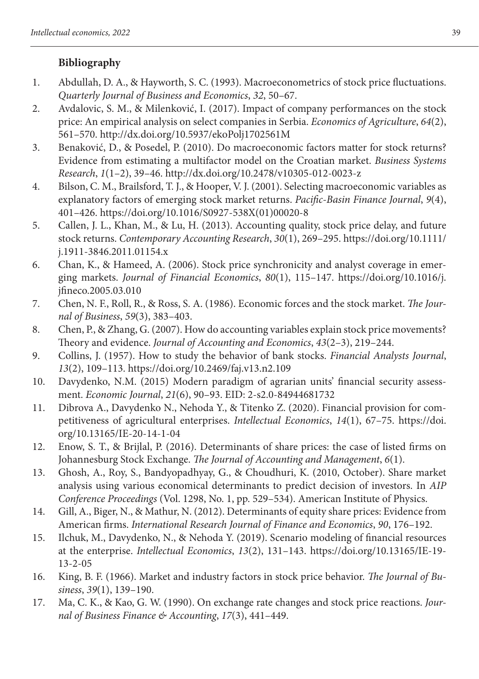# **Bibliography**

- 1. Abdullah, D. A., & Hayworth, S. C. (1993). Macroeconometrics of stock price fluctuations. *Quarterly Journal of Business and Economics*, *32*, 50–67.
- 2. Avdalovic, S. M., & Milenković, I. (2017). Impact of company performances on the stock price: An empirical analysis on select companies in Serbia. *Economics of Agriculture*, *64*(2), 561–570. http://dx.doi.org/10.5937/ekoPolj1702561M
- 3. Benaković, D., & Posedel, P. (2010). Do macroeconomic factors matter for stock returns? Evidence from estimating a multifactor model on the Croatian market. *Business Systems Research*, *1*(1–2), 39–46. http://dx.doi.org/10.2478/v10305-012-0023-z
- 4. Bilson, C. M., Brailsford, T. J., & Hooper, V. J. (2001). Selecting macroeconomic variables as explanatory factors of emerging stock market returns. *Pacific-Basin Finance Journal*, *9*(4), 401–426. https://doi.org/10.1016/S0927-538X(01)00020-8
- 5. Callen, J. L., Khan, M., & Lu, H. (2013). Accounting quality, stock price delay, and future stock returns. *Contemporary Accounting Research*, *30*(1), 269–295. https://doi.org/10.1111/ j.1911-3846.2011.01154.x
- 6. Chan, K., & Hameed, A. (2006). Stock price synchronicity and analyst coverage in emerging markets. *Journal of Financial Economics*, *80*(1), 115–147. https://doi.org/10.1016/j. jfineco.2005.03.010
- 7. Chen, N. F., Roll, R., & Ross, S. A. (1986). Economic forces and the stock market. *The Journal of Business*, *59*(3), 383–403.
- 8. Chen, P., & Zhang, G. (2007). How do accounting variables explain stock price movements? Theory and evidence. *Journal of Accounting and Economics*, *43*(2–3), 219–244.
- 9. Collins, J. (1957). How to study the behavior of bank stocks. *Financial Analysts Journal*, *13*(2), 109–113. https://doi.org/10.2469/faj.v13.n2.109
- 10. Davydenko, N.M. (2015) Modern paradigm of agrarian units' financial security assessment. *Economic Journal*, *21*(6), 90–93. EID: 2-s2.0-84944681732
- 11. Dibrova А., Davydenko N., Nehoda Y., & Titenko Z. (2020). Financial provision for competitiveness of agricultural enterprises. *Intellectual Economics*, *14*(1), 67–75. https://doi. org/10.13165/IE-20-14-1-04
- 12. Enow, S. T., & Brijlal, P. (2016). Determinants of share prices: the case of listed firms on Johannesburg Stock Exchange. *The Journal of Accounting and Management*, *6*(1).
- 13. Ghosh, A., Roy, S., Bandyopadhyay, G., & Choudhuri, K. (2010, October). Share market analysis using various economical determinants to predict decision of investors. In *AIP Conference Proceedings* (Vol. 1298, No. 1, pp. 529–534). American Institute of Physics.
- 14. Gill, A., Biger, N., & Mathur, N. (2012). Determinants of equity share prices: Evidence from American firms. *International Research Journal of Finance and Economics*, *90*, 176–192.
- 15. Ilchuk, М., Davydenko, N., & Nehoda Y. (2019). Scenario modeling of financial resources at the enterprise. *Intellectual Economics*, *13*(2), 131–143. https://doi.org/10.13165/IE-19- 13-2-05
- 16. King, B. F. (1966). Market and industry factors in stock price behavior. *The Journal of Business*, *39*(1), 139–190.
- 17. Ma, C. K., & Kao, G. W. (1990). On exchange rate changes and stock price reactions. *Journal of Business Finance & Accounting*, *17*(3), 441–449.